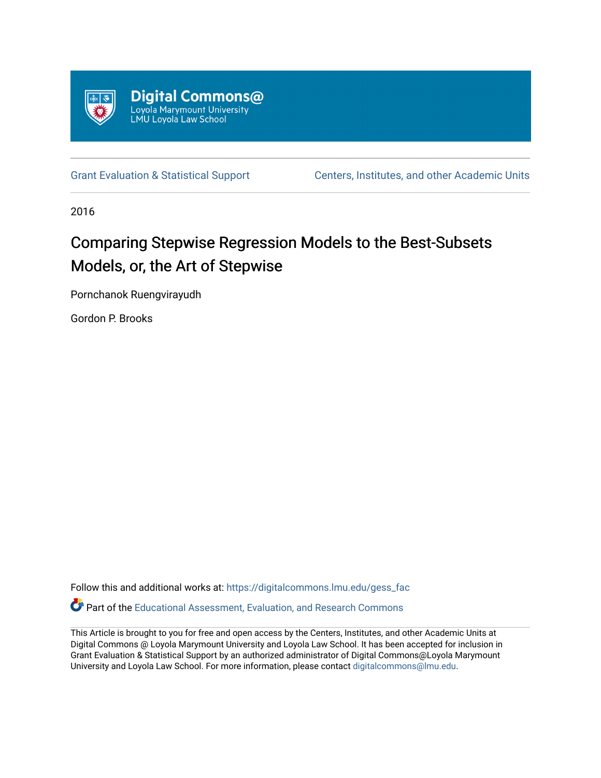

[Grant Evaluation & Statistical Support](https://digitalcommons.lmu.edu/gess_fac) [Centers, Institutes, and other Academic Units](https://digitalcommons.lmu.edu/cia) 

2016

# Comparing Stepwise Regression Models to the Best-Subsets Models, or, the Art of Stepwise

Pornchanok Ruengvirayudh

Gordon P. Brooks

Follow this and additional works at: [https://digitalcommons.lmu.edu/gess\\_fac](https://digitalcommons.lmu.edu/gess_fac?utm_source=digitalcommons.lmu.edu%2Fgess_fac%2F3&utm_medium=PDF&utm_campaign=PDFCoverPages) 

Part of the [Educational Assessment, Evaluation, and Research Commons](http://network.bepress.com/hgg/discipline/796?utm_source=digitalcommons.lmu.edu%2Fgess_fac%2F3&utm_medium=PDF&utm_campaign=PDFCoverPages)

This Article is brought to you for free and open access by the Centers, Institutes, and other Academic Units at Digital Commons @ Loyola Marymount University and Loyola Law School. It has been accepted for inclusion in Grant Evaluation & Statistical Support by an authorized administrator of Digital Commons@Loyola Marymount University and Loyola Law School. For more information, please contact [digitalcommons@lmu.edu.](mailto:digitalcommons@lmu.edu)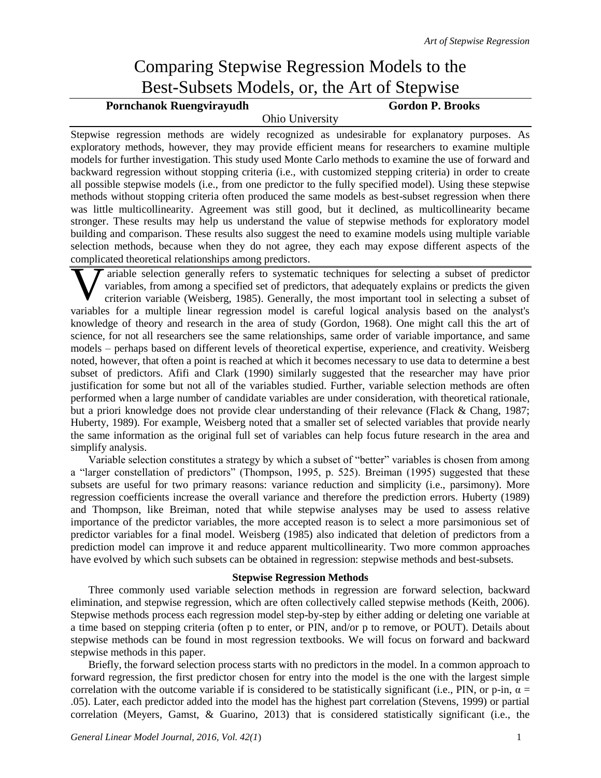## Comparing Stepwise Regression Models to the Best-Subsets Models, or, the Art of Stepwise

### Pornchanok Ruengvirayudh Gordon P. Brooks

#### Ohio University

Stepwise regression methods are widely recognized as undesirable for explanatory purposes. As exploratory methods, however, they may provide efficient means for researchers to examine multiple models for further investigation. This study used Monte Carlo methods to examine the use of forward and backward regression without stopping criteria (i.e., with customized stepping criteria) in order to create all possible stepwise models (i.e., from one predictor to the fully specified model). Using these stepwise methods without stopping criteria often produced the same models as best-subset regression when there was little multicollinearity. Agreement was still good, but it declined, as multicollinearity became stronger. These results may help us understand the value of stepwise methods for exploratory model building and comparison. These results also suggest the need to examine models using multiple variable selection methods, because when they do not agree, they each may expose different aspects of the complicated theoretical relationships among predictors.

ariable selection generally refers to systematic techniques for selecting a subset of predictor variables, from among a specified set of predictors, that adequately explains or predicts the given criterion variable (Weisberg, 1985). Generally, the most important tool in selecting a subset of Tariable selection generally refers to systematic techniques for selecting a subset of predictor<br>variables, from among a specified set of predictors, that adequately explains or predicts the given<br>criterion variable (Weisb knowledge of theory and research in the area of study (Gordon, 1968). One might call this the art of science, for not all researchers see the same relationships, same order of variable importance, and same models – perhaps based on different levels of theoretical expertise, experience, and creativity. Weisberg noted, however, that often a point is reached at which it becomes necessary to use data to determine a best subset of predictors. Afifi and Clark (1990) similarly suggested that the researcher may have prior justification for some but not all of the variables studied. Further, variable selection methods are often performed when a large number of candidate variables are under consideration, with theoretical rationale, but a priori knowledge does not provide clear understanding of their relevance (Flack & Chang, 1987; Huberty, 1989). For example, Weisberg noted that a smaller set of selected variables that provide nearly the same information as the original full set of variables can help focus future research in the area and simplify analysis.

Variable selection constitutes a strategy by which a subset of "better" variables is chosen from among a "larger constellation of predictors" (Thompson, 1995, p. 525). Breiman (1995) suggested that these subsets are useful for two primary reasons: variance reduction and simplicity (i.e., parsimony). More regression coefficients increase the overall variance and therefore the prediction errors. Huberty (1989) and Thompson, like Breiman, noted that while stepwise analyses may be used to assess relative importance of the predictor variables, the more accepted reason is to select a more parsimonious set of predictor variables for a final model. Weisberg (1985) also indicated that deletion of predictors from a prediction model can improve it and reduce apparent multicollinearity. Two more common approaches have evolved by which such subsets can be obtained in regression: stepwise methods and best-subsets.

#### **Stepwise Regression Methods**

Three commonly used variable selection methods in regression are forward selection, backward elimination, and stepwise regression, which are often collectively called stepwise methods (Keith, 2006). Stepwise methods process each regression model step-by-step by either adding or deleting one variable at a time based on stepping criteria (often p to enter, or PIN, and/or p to remove, or POUT). Details about stepwise methods can be found in most regression textbooks. We will focus on forward and backward stepwise methods in this paper.

Briefly, the forward selection process starts with no predictors in the model. In a common approach to forward regression, the first predictor chosen for entry into the model is the one with the largest simple correlation with the outcome variable if is considered to be statistically significant (i.e., PIN, or p-in,  $\alpha =$ .05). Later, each predictor added into the model has the highest part correlation (Stevens, 1999) or partial correlation (Meyers, Gamst, & Guarino, 2013) that is considered statistically significant (i.e., the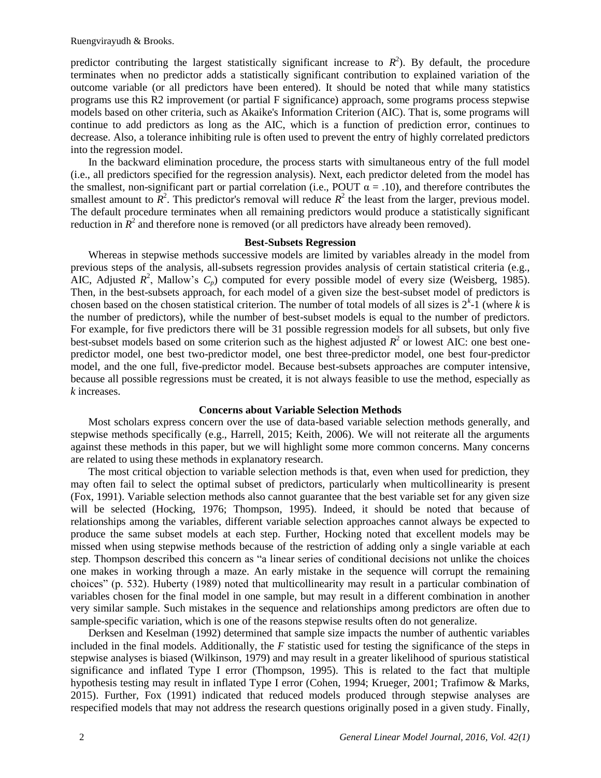Ruengvirayudh & Brooks.

predictor contributing the largest statistically significant increase to  $R^2$ ). By default, the procedure terminates when no predictor adds a statistically significant contribution to explained variation of the outcome variable (or all predictors have been entered). It should be noted that while many statistics programs use this R2 improvement (or partial F significance) approach, some programs process stepwise models based on other criteria, such as Akaike's Information Criterion (AIC). That is, some programs will continue to add predictors as long as the AIC, which is a function of prediction error, continues to decrease. Also, a tolerance inhibiting rule is often used to prevent the entry of highly correlated predictors into the regression model.

In the backward elimination procedure, the process starts with simultaneous entry of the full model (i.e., all predictors specified for the regression analysis). Next, each predictor deleted from the model has the smallest, non-significant part or partial correlation (i.e., POUT  $\alpha = .10$ ), and therefore contributes the smallest amount to  $\mathbb{R}^2$ . This predictor's removal will reduce  $\mathbb{R}^2$  the least from the larger, previous model. The default procedure terminates when all remaining predictors would produce a statistically significant reduction in  $\mathbb{R}^2$  and therefore none is removed (or all predictors have already been removed).

#### **Best-Subsets Regression**

Whereas in stepwise methods successive models are limited by variables already in the model from previous steps of the analysis, all-subsets regression provides analysis of certain statistical criteria (e.g., AIC, Adjusted  $R^2$ , Mallow's  $C_p$ ) computed for every possible model of every size (Weisberg, 1985). Then, in the best-subsets approach, for each model of a given size the best-subset model of predictors is chosen based on the chosen statistical criterion. The number of total models of all sizes is  $2^{k}$ -1 (where *k* is the number of predictors), while the number of best-subset models is equal to the number of predictors. For example, for five predictors there will be 31 possible regression models for all subsets, but only five best-subset models based on some criterion such as the highest adjusted  $R^2$  or lowest AIC: one best onepredictor model, one best two-predictor model, one best three-predictor model, one best four-predictor model, and the one full, five-predictor model. Because best-subsets approaches are computer intensive, because all possible regressions must be created, it is not always feasible to use the method, especially as *k* increases.

#### **Concerns about Variable Selection Methods**

Most scholars express concern over the use of data-based variable selection methods generally, and stepwise methods specifically (e.g., Harrell, 2015; Keith, 2006). We will not reiterate all the arguments against these methods in this paper, but we will highlight some more common concerns. Many concerns are related to using these methods in explanatory research.

The most critical objection to variable selection methods is that, even when used for prediction, they may often fail to select the optimal subset of predictors, particularly when multicollinearity is present (Fox, 1991). Variable selection methods also cannot guarantee that the best variable set for any given size will be selected (Hocking, 1976; Thompson, 1995). Indeed, it should be noted that because of relationships among the variables, different variable selection approaches cannot always be expected to produce the same subset models at each step. Further, Hocking noted that excellent models may be missed when using stepwise methods because of the restriction of adding only a single variable at each step. Thompson described this concern as "a linear series of conditional decisions not unlike the choices one makes in working through a maze. An early mistake in the sequence will corrupt the remaining choices" (p. 532). Huberty (1989) noted that multicollinearity may result in a particular combination of variables chosen for the final model in one sample, but may result in a different combination in another very similar sample. Such mistakes in the sequence and relationships among predictors are often due to sample-specific variation, which is one of the reasons stepwise results often do not generalize.

Derksen and Keselman (1992) determined that sample size impacts the number of authentic variables included in the final models. Additionally, the *F* statistic used for testing the significance of the steps in stepwise analyses is biased (Wilkinson, 1979) and may result in a greater likelihood of spurious statistical significance and inflated Type I error (Thompson, 1995). This is related to the fact that multiple hypothesis testing may result in inflated Type I error (Cohen, 1994; Krueger, 2001; Trafimow & Marks, 2015). Further, Fox (1991) indicated that reduced models produced through stepwise analyses are respecified models that may not address the research questions originally posed in a given study. Finally,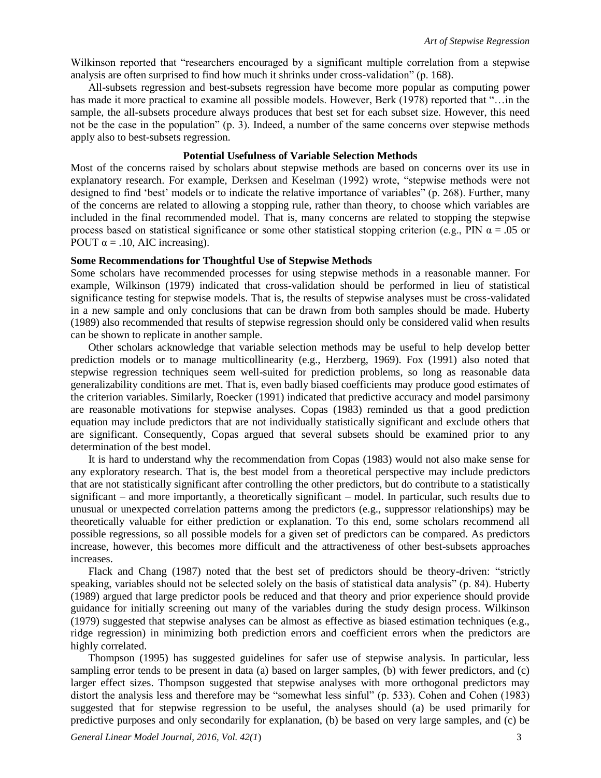Wilkinson reported that "researchers encouraged by a significant multiple correlation from a stepwise analysis are often surprised to find how much it shrinks under cross-validation" (p. 168).

All-subsets regression and best-subsets regression have become more popular as computing power has made it more practical to examine all possible models. However, Berk (1978) reported that "…in the sample, the all-subsets procedure always produces that best set for each subset size. However, this need not be the case in the population" (p. 3). Indeed, a number of the same concerns over stepwise methods apply also to best-subsets regression.

#### **Potential Usefulness of Variable Selection Methods**

Most of the concerns raised by scholars about stepwise methods are based on concerns over its use in explanatory research. For example, Derksen and Keselman (1992) wrote, "stepwise methods were not designed to find 'best' models or to indicate the relative importance of variables" (p. 268). Further, many of the concerns are related to allowing a stopping rule, rather than theory, to choose which variables are included in the final recommended model. That is, many concerns are related to stopping the stepwise process based on statistical significance or some other statistical stopping criterion (e.g., PIN  $\alpha$  = .05 or POUT  $\alpha = .10$ , AIC increasing).

#### **Some Recommendations for Thoughtful Use of Stepwise Methods**

Some scholars have recommended processes for using stepwise methods in a reasonable manner. For example, Wilkinson (1979) indicated that cross-validation should be performed in lieu of statistical significance testing for stepwise models. That is, the results of stepwise analyses must be cross-validated in a new sample and only conclusions that can be drawn from both samples should be made. Huberty (1989) also recommended that results of stepwise regression should only be considered valid when results can be shown to replicate in another sample.

Other scholars acknowledge that variable selection methods may be useful to help develop better prediction models or to manage multicollinearity (e.g., Herzberg, 1969). Fox (1991) also noted that stepwise regression techniques seem well-suited for prediction problems, so long as reasonable data generalizability conditions are met. That is, even badly biased coefficients may produce good estimates of the criterion variables. Similarly, Roecker (1991) indicated that predictive accuracy and model parsimony are reasonable motivations for stepwise analyses. Copas (1983) reminded us that a good prediction equation may include predictors that are not individually statistically significant and exclude others that are significant. Consequently, Copas argued that several subsets should be examined prior to any determination of the best model.

It is hard to understand why the recommendation from Copas (1983) would not also make sense for any exploratory research. That is, the best model from a theoretical perspective may include predictors that are not statistically significant after controlling the other predictors, but do contribute to a statistically significant – and more importantly, a theoretically significant – model. In particular, such results due to unusual or unexpected correlation patterns among the predictors (e.g., suppressor relationships) may be theoretically valuable for either prediction or explanation. To this end, some scholars recommend all possible regressions, so all possible models for a given set of predictors can be compared. As predictors increase, however, this becomes more difficult and the attractiveness of other best-subsets approaches increases.

Flack and Chang (1987) noted that the best set of predictors should be theory-driven: "strictly speaking, variables should not be selected solely on the basis of statistical data analysis" (p. 84). Huberty (1989) argued that large predictor pools be reduced and that theory and prior experience should provide guidance for initially screening out many of the variables during the study design process. Wilkinson (1979) suggested that stepwise analyses can be almost as effective as biased estimation techniques (e.g., ridge regression) in minimizing both prediction errors and coefficient errors when the predictors are highly correlated.

Thompson (1995) has suggested guidelines for safer use of stepwise analysis. In particular, less sampling error tends to be present in data (a) based on larger samples, (b) with fewer predictors, and (c) larger effect sizes. Thompson suggested that stepwise analyses with more orthogonal predictors may distort the analysis less and therefore may be "somewhat less sinful" (p. 533). Cohen and Cohen (1983) suggested that for stepwise regression to be useful, the analyses should (a) be used primarily for predictive purposes and only secondarily for explanation, (b) be based on very large samples, and (c) be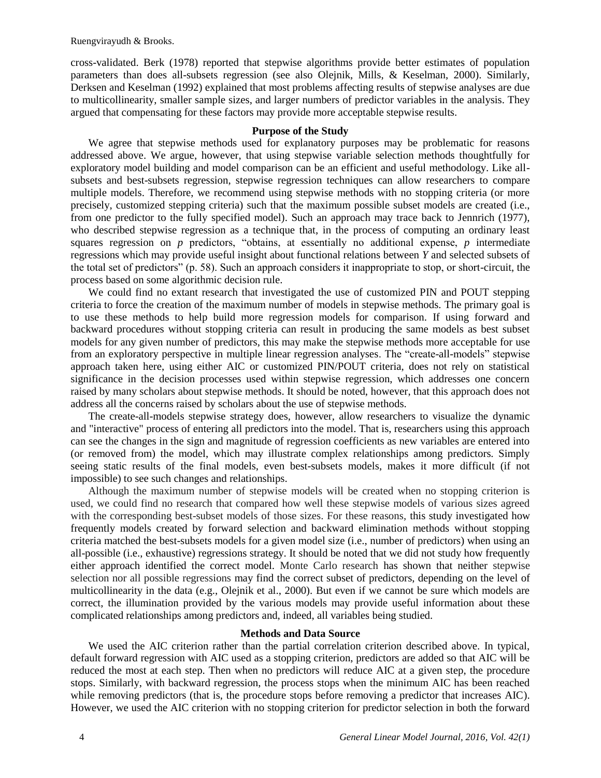cross-validated. Berk (1978) reported that stepwise algorithms provide better estimates of population parameters than does all-subsets regression (see also Olejnik, Mills, & Keselman, 2000). Similarly, Derksen and Keselman (1992) explained that most problems affecting results of stepwise analyses are due to multicollinearity, smaller sample sizes, and larger numbers of predictor variables in the analysis. They argued that compensating for these factors may provide more acceptable stepwise results.

#### **Purpose of the Study**

We agree that stepwise methods used for explanatory purposes may be problematic for reasons addressed above. We argue, however, that using stepwise variable selection methods thoughtfully for exploratory model building and model comparison can be an efficient and useful methodology. Like allsubsets and best-subsets regression, stepwise regression techniques can allow researchers to compare multiple models. Therefore, we recommend using stepwise methods with no stopping criteria (or more precisely, customized stepping criteria) such that the maximum possible subset models are created (i.e., from one predictor to the fully specified model). Such an approach may trace back to Jennrich (1977), who described stepwise regression as a technique that, in the process of computing an ordinary least squares regression on *p* predictors, "obtains, at essentially no additional expense, *p* intermediate regressions which may provide useful insight about functional relations between *Y* and selected subsets of the total set of predictors" (p. 58). Such an approach considers it inappropriate to stop, or short-circuit, the process based on some algorithmic decision rule.

We could find no extant research that investigated the use of customized PIN and POUT stepping criteria to force the creation of the maximum number of models in stepwise methods. The primary goal is to use these methods to help build more regression models for comparison. If using forward and backward procedures without stopping criteria can result in producing the same models as best subset models for any given number of predictors, this may make the stepwise methods more acceptable for use from an exploratory perspective in multiple linear regression analyses. The "create-all-models" stepwise approach taken here, using either AIC or customized PIN/POUT criteria, does not rely on statistical significance in the decision processes used within stepwise regression, which addresses one concern raised by many scholars about stepwise methods. It should be noted, however, that this approach does not address all the concerns raised by scholars about the use of stepwise methods.

The create-all-models stepwise strategy does, however, allow researchers to visualize the dynamic and "interactive" process of entering all predictors into the model. That is, researchers using this approach can see the changes in the sign and magnitude of regression coefficients as new variables are entered into (or removed from) the model, which may illustrate complex relationships among predictors. Simply seeing static results of the final models, even best-subsets models, makes it more difficult (if not impossible) to see such changes and relationships.

Although the maximum number of stepwise models will be created when no stopping criterion is used, we could find no research that compared how well these stepwise models of various sizes agreed with the corresponding best-subset models of those sizes. For these reasons, this study investigated how frequently models created by forward selection and backward elimination methods without stopping criteria matched the best-subsets models for a given model size (i.e., number of predictors) when using an all-possible (i.e., exhaustive) regressions strategy. It should be noted that we did not study how frequently either approach identified the correct model. Monte Carlo research has shown that neither stepwise selection nor all possible regressions may find the correct subset of predictors, depending on the level of multicollinearity in the data (e.g., Olejnik et al., 2000). But even if we cannot be sure which models are correct, the illumination provided by the various models may provide useful information about these complicated relationships among predictors and, indeed, all variables being studied.

#### **Methods and Data Source**

We used the AIC criterion rather than the partial correlation criterion described above. In typical, default forward regression with AIC used as a stopping criterion, predictors are added so that AIC will be reduced the most at each step. Then when no predictors will reduce AIC at a given step, the procedure stops. Similarly, with backward regression, the process stops when the minimum AIC has been reached while removing predictors (that is, the procedure stops before removing a predictor that increases AIC). However, we used the AIC criterion with no stopping criterion for predictor selection in both the forward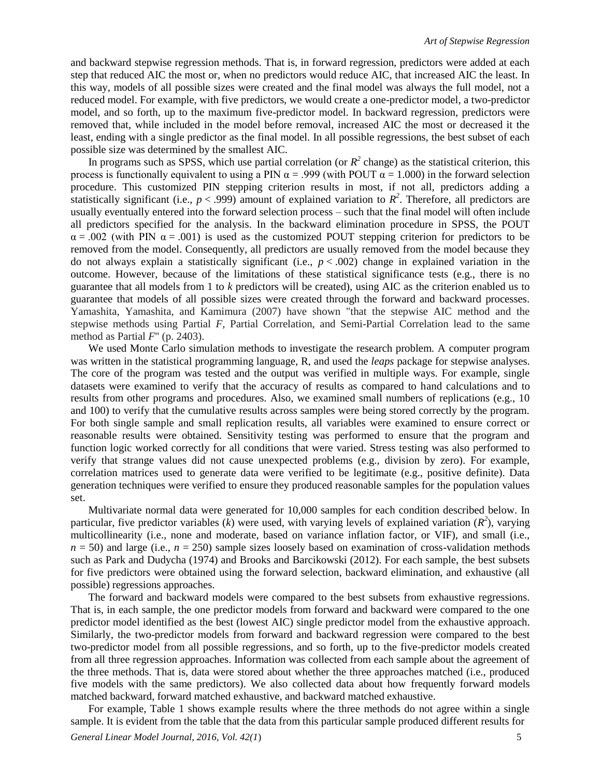and backward stepwise regression methods. That is, in forward regression, predictors were added at each step that reduced AIC the most or, when no predictors would reduce AIC, that increased AIC the least. In this way, models of all possible sizes were created and the final model was always the full model, not a reduced model. For example, with five predictors, we would create a one-predictor model, a two-predictor model, and so forth, up to the maximum five-predictor model. In backward regression, predictors were removed that, while included in the model before removal, increased AIC the most or decreased it the least, ending with a single predictor as the final model. In all possible regressions, the best subset of each possible size was determined by the smallest AIC.

In programs such as SPSS, which use partial correlation (or  $R^2$  change) as the statistical criterion, this process is functionally equivalent to using a PIN  $\alpha$  = .999 (with POUT  $\alpha$  = 1.000) in the forward selection procedure. This customized PIN stepping criterion results in most, if not all, predictors adding a statistically significant (i.e.,  $p < .999$ ) amount of explained variation to  $R^2$ . Therefore, all predictors are usually eventually entered into the forward selection process – such that the final model will often include all predictors specified for the analysis. In the backward elimination procedure in SPSS, the POUT  $\alpha$  = .002 (with PIN  $\alpha$  = .001) is used as the customized POUT stepping criterion for predictors to be removed from the model. Consequently, all predictors are usually removed from the model because they do not always explain a statistically significant (i.e., *p* < .002) change in explained variation in the outcome. However, because of the limitations of these statistical significance tests (e.g., there is no guarantee that all models from 1 to *k* predictors will be created), using AIC as the criterion enabled us to guarantee that models of all possible sizes were created through the forward and backward processes. Yamashita, Yamashita, and Kamimura (2007) have shown "that the stepwise AIC method and the stepwise methods using Partial *F*, Partial Correlation, and Semi-Partial Correlation lead to the same method as Partial *F*" (p. 2403).

We used Monte Carlo simulation methods to investigate the research problem. A computer program was written in the statistical programming language, R, and used the *leaps* package for stepwise analyses. The core of the program was tested and the output was verified in multiple ways. For example, single datasets were examined to verify that the accuracy of results as compared to hand calculations and to results from other programs and procedures. Also, we examined small numbers of replications (e.g., 10 and 100) to verify that the cumulative results across samples were being stored correctly by the program. For both single sample and small replication results, all variables were examined to ensure correct or reasonable results were obtained. Sensitivity testing was performed to ensure that the program and function logic worked correctly for all conditions that were varied. Stress testing was also performed to verify that strange values did not cause unexpected problems (e.g., division by zero). For example, correlation matrices used to generate data were verified to be legitimate (e.g., positive definite). Data generation techniques were verified to ensure they produced reasonable samples for the population values set.

Multivariate normal data were generated for 10,000 samples for each condition described below. In particular, five predictor variables ( $\vec{k}$ ) were used, with varying levels of explained variation ( $R^2$ ), varying multicollinearity (i.e., none and moderate, based on variance inflation factor, or VIF), and small (i.e.,  $n = 50$ ) and large (i.e.,  $n = 250$ ) sample sizes loosely based on examination of cross-validation methods such as Park and Dudycha (1974) and Brooks and Barcikowski (2012). For each sample, the best subsets for five predictors were obtained using the forward selection, backward elimination, and exhaustive (all possible) regressions approaches.

The forward and backward models were compared to the best subsets from exhaustive regressions. That is, in each sample, the one predictor models from forward and backward were compared to the one predictor model identified as the best (lowest AIC) single predictor model from the exhaustive approach. Similarly, the two-predictor models from forward and backward regression were compared to the best two-predictor model from all possible regressions, and so forth, up to the five-predictor models created from all three regression approaches. Information was collected from each sample about the agreement of the three methods. That is, data were stored about whether the three approaches matched (i.e., produced five models with the same predictors). We also collected data about how frequently forward models matched backward, forward matched exhaustive, and backward matched exhaustive.

For example, Table 1 shows example results where the three methods do not agree within a single sample. It is evident from the table that the data from this particular sample produced different results for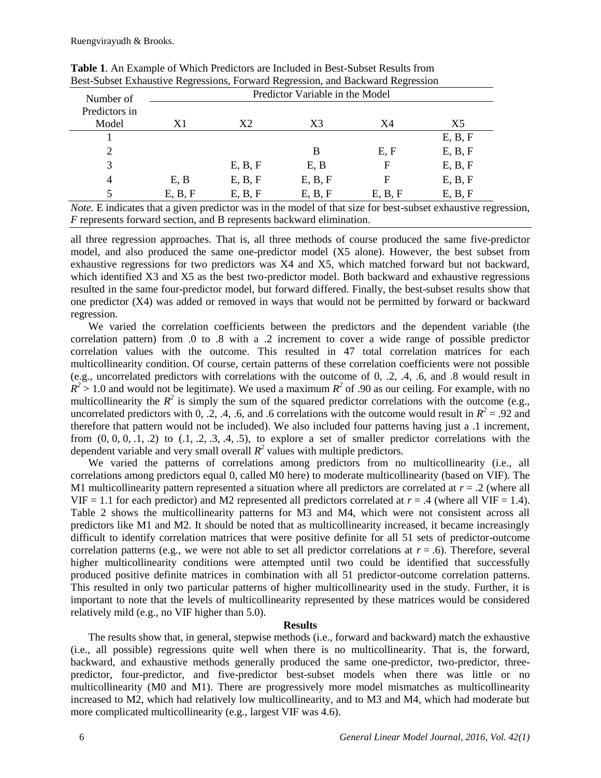| Number of     | Predictor Variable in the Model |                |                |             |         |  |  |  |  |  |  |
|---------------|---------------------------------|----------------|----------------|-------------|---------|--|--|--|--|--|--|
| Predictors in |                                 |                |                |             |         |  |  |  |  |  |  |
| Model         | X1                              | X <sub>2</sub> | X <sub>3</sub> | X4          | X5      |  |  |  |  |  |  |
|               |                                 |                |                |             | E, B, F |  |  |  |  |  |  |
| 2             |                                 |                | B              | E, F        | E, B, F |  |  |  |  |  |  |
| 3             |                                 | E, B, F        | E, B           | $\mathbf F$ | E, B, F |  |  |  |  |  |  |
| 4             | E, B                            | E, B, F        | E, B, F        | F           | E, B, F |  |  |  |  |  |  |
| 5             | E, B, F                         | E, B, F        | E, B, F        | E, B, F     | E, B, F |  |  |  |  |  |  |

**Table 1**. An Example of Which Predictors are Included in Best-Subset Results from Best-Subset Exhaustive Regressions, Forward Regression, and Backward Regression

*Note.* E indicates that a given predictor was in the model of that size for best-subset exhaustive regression, *F* represents forward section, and B represents backward elimination.

all three regression approaches. That is, all three methods of course produced the same five-predictor model, and also produced the same one-predictor model (X5 alone). However, the best subset from exhaustive regressions for two predictors was X4 and X5, which matched forward but not backward, which identified X3 and X5 as the best two-predictor model. Both backward and exhaustive regressions resulted in the same four-predictor model, but forward differed. Finally, the best-subset results show that one predictor (X4) was added or removed in ways that would not be permitted by forward or backward regression.

We varied the correlation coefficients between the predictors and the dependent variable (the correlation pattern) from .0 to .8 with a .2 increment to cover a wide range of possible predictor correlation values with the outcome. This resulted in 47 total correlation matrices for each multicollinearity condition. Of course, certain patterns of these correlation coefficients were not possible (e.g., uncorrelated predictors with correlations with the outcome of 0, .2, .4, .6, and .8 would result in  $R^2 > 1.0$  and would not be legitimate). We used a maximum  $R^2$  of .90 as our ceiling. For example, with no multicollinearity the  $R^2$  is simply the sum of the squared predictor correlations with the outcome (e.g., uncorrelated predictors with 0, .2, .4, .6, and .6 correlations with the outcome would result in  $R^2 = .92$  and therefore that pattern would not be included). We also included four patterns having just a .1 increment, from  $(0, 0, 0, 0, 1, 2)$  to  $(0.1, 0.2, 0.3, 0.4, 0.5)$ , to explore a set of smaller predictor correlations with the dependent variable and very small overall  $R^2$  values with multiple predictors.

We varied the patterns of correlations among predictors from no multicollinearity (i.e., all correlations among predictors equal 0, called M0 here) to moderate multicollinearity (based on VIF). The M1 multicollinearity pattern represented a situation where all predictors are correlated at  $r = .2$  (where all VIF = 1.1 for each predictor) and M2 represented all predictors correlated at  $r = .4$  (where all VIF = 1.4). Table 2 shows the multicollinearity patterns for M3 and M4, which were not consistent across all predictors like M1 and M2. It should be noted that as multicollinearity increased, it became increasingly difficult to identify correlation matrices that were positive definite for all 51 sets of predictor-outcome correlation patterns (e.g., we were not able to set all predictor correlations at  $r = .6$ ). Therefore, several higher multicollinearity conditions were attempted until two could be identified that successfully produced positive definite matrices in combination with all 51 predictor-outcome correlation patterns. This resulted in only two particular patterns of higher multicollinearity used in the study. Further, it is important to note that the levels of multicollinearity represented by these matrices would be considered relatively mild (e.g., no VIF higher than 5.0).

#### **Results**

The results show that, in general, stepwise methods (i.e., forward and backward) match the exhaustive (i.e., all possible) regressions quite well when there is no multicollinearity. That is, the forward, backward, and exhaustive methods generally produced the same one-predictor, two-predictor, threepredictor, four-predictor, and five-predictor best-subset models when there was little or no multicollinearity (M0 and M1). There are progressively more model mismatches as multicollinearity increased to M2, which had relatively low multicollinearity, and to M3 and M4, which had moderate but more complicated multicollinearity (e.g., largest VIF was 4.6).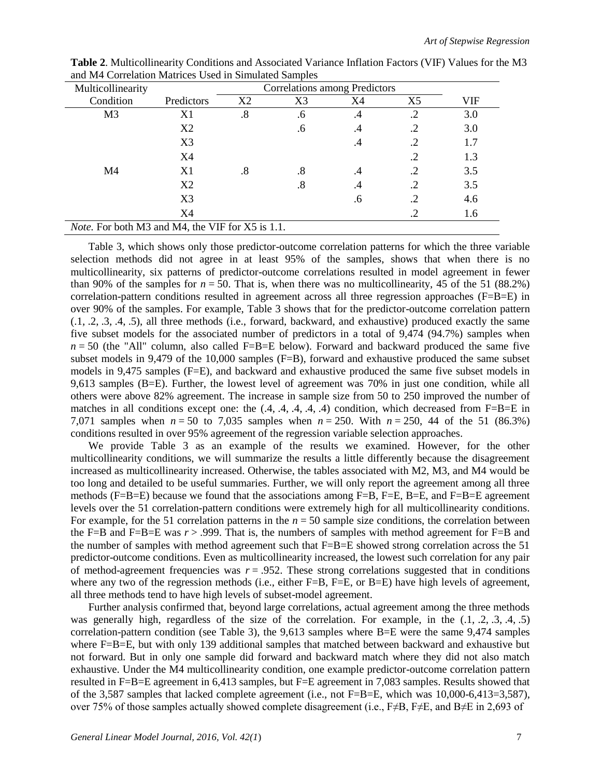| Multicollinearity                                       |                |    | Correlations among Predictors |           |                |     |  |  |  |
|---------------------------------------------------------|----------------|----|-------------------------------|-----------|----------------|-----|--|--|--|
| Condition                                               | Predictors     | X2 | X3                            | X4        | X <sub>5</sub> | VIF |  |  |  |
| M <sub>3</sub>                                          | X1             | .8 | .6                            | .4        | .2             | 3.0 |  |  |  |
|                                                         | X2             |    | .6                            | $\cdot^4$ | .2             | 3.0 |  |  |  |
|                                                         | X <sub>3</sub> |    |                               | .4        | .2             | 1.7 |  |  |  |
|                                                         | X <sub>4</sub> |    |                               |           | .2             | 1.3 |  |  |  |
| M4                                                      | X1             | .8 | $.8\,$                        | .4        |                | 3.5 |  |  |  |
|                                                         | X2             |    | $.8\,$                        | .4        | .2             | 3.5 |  |  |  |
|                                                         | X3             |    |                               | $\cdot 6$ |                | 4.6 |  |  |  |
|                                                         | X4             |    |                               |           | .2             | 1.6 |  |  |  |
| <i>Note.</i> For both M3 and M4, the VIF for X5 is 1.1. |                |    |                               |           |                |     |  |  |  |

**Table 2**. Multicollinearity Conditions and Associated Variance Inflation Factors (VIF) Values for the M3 and M4 Correlation Matrices Used in Simulated Samples

Table 3, which shows only those predictor-outcome correlation patterns for which the three variable selection methods did not agree in at least 95% of the samples, shows that when there is no multicollinearity, six patterns of predictor-outcome correlations resulted in model agreement in fewer than 90% of the samples for  $n = 50$ . That is, when there was no multicollinearity, 45 of the 51 (88.2%) correlation-pattern conditions resulted in agreement across all three regression approaches (F=B=E) in over 90% of the samples. For example, Table 3 shows that for the predictor-outcome correlation pattern (.1, .2, .3, .4, .5), all three methods (i.e., forward, backward, and exhaustive) produced exactly the same five subset models for the associated number of predictors in a total of 9,474 (94.7%) samples when  $n = 50$  (the "All" column, also called F=B=E below). Forward and backward produced the same five subset models in 9,479 of the 10,000 samples (F=B), forward and exhaustive produced the same subset models in 9,475 samples (F=E), and backward and exhaustive produced the same five subset models in 9,613 samples (B=E). Further, the lowest level of agreement was 70% in just one condition, while all others were above 82% agreement. The increase in sample size from 50 to 250 improved the number of matches in all conditions except one: the  $(0.4, 0.4, 0.4, 0.4)$  condition, which decreased from F=B=E in 7,071 samples when *n* = 50 to 7,035 samples when *n* = 250. With *n* = 250, 44 of the 51 (86.3%) conditions resulted in over 95% agreement of the regression variable selection approaches.

We provide Table 3 as an example of the results we examined. However, for the other multicollinearity conditions, we will summarize the results a little differently because the disagreement increased as multicollinearity increased. Otherwise, the tables associated with M2, M3, and M4 would be too long and detailed to be useful summaries. Further, we will only report the agreement among all three methods (F=B=E) because we found that the associations among F=B, F=E, B=E, and F=B=E agreement levels over the 51 correlation-pattern conditions were extremely high for all multicollinearity conditions. For example, for the 51 correlation patterns in the  $n = 50$  sample size conditions, the correlation between the F=B and F=B=E was  $r > .999$ . That is, the numbers of samples with method agreement for F=B and the number of samples with method agreement such that F=B=E showed strong correlation across the 51 predictor-outcome conditions. Even as multicollinearity increased, the lowest such correlation for any pair of method-agreement frequencies was  $r = .952$ . These strong correlations suggested that in conditions where any two of the regression methods (i.e., either  $F=B$ ,  $F=E$ , or  $B=E$ ) have high levels of agreement, all three methods tend to have high levels of subset-model agreement.

Further analysis confirmed that, beyond large correlations, actual agreement among the three methods was generally high, regardless of the size of the correlation. For example, in the  $(0.1, 0.2, 0.3, 0.4, 0.5)$ correlation-pattern condition (see Table 3), the 9,613 samples where B=E were the same 9,474 samples where F=B=E, but with only 139 additional samples that matched between backward and exhaustive but not forward. But in only one sample did forward and backward match where they did not also match exhaustive. Under the M4 multicollinearity condition, one example predictor-outcome correlation pattern resulted in F=B=E agreement in 6,413 samples, but F=E agreement in 7,083 samples. Results showed that of the 3,587 samples that lacked complete agreement (i.e., not  $F=B=E$ , which was 10,000-6,413=3,587), over 75% of those samples actually showed complete disagreement (i.e., F≠B, F≠E, and B≠E in 2,693 of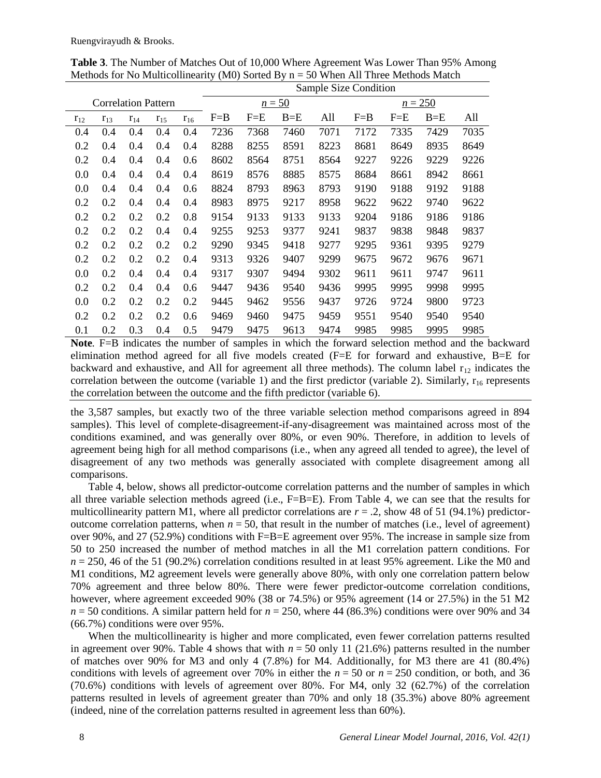|          |          |                            |          |          | Sample Size Condition |         |          |      |           |         |         |      |  |  |
|----------|----------|----------------------------|----------|----------|-----------------------|---------|----------|------|-----------|---------|---------|------|--|--|
|          |          | <b>Correlation Pattern</b> |          |          |                       |         | $n = 50$ |      | $n = 250$ |         |         |      |  |  |
| $r_{12}$ | $r_{13}$ | $r_{14}$                   | $r_{15}$ | $r_{16}$ | $F = B$               | $F = E$ | $B = E$  | All  | $F = B$   | $F = E$ | $B = E$ | All  |  |  |
| 0.4      | 0.4      | 0.4                        | 0.4      | 0.4      | 7236                  | 7368    | 7460     | 7071 | 7172      | 7335    | 7429    | 7035 |  |  |
| 0.2      | 0.4      | 0.4                        | 0.4      | 0.4      | 8288                  | 8255    | 8591     | 8223 | 8681      | 8649    | 8935    | 8649 |  |  |
| 0.2      | 0.4      | 0.4                        | 0.4      | 0.6      | 8602                  | 8564    | 8751     | 8564 | 9227      | 9226    | 9229    | 9226 |  |  |
| 0.0      | 0.4      | 0.4                        | 0.4      | 0.4      | 8619                  | 8576    | 8885     | 8575 | 8684      | 8661    | 8942    | 8661 |  |  |
| 0.0      | 0.4      | 0.4                        | 0.4      | 0.6      | 8824                  | 8793    | 8963     | 8793 | 9190      | 9188    | 9192    | 9188 |  |  |
| 0.2      | 0.2      | 0.4                        | 0.4      | 0.4      | 8983                  | 8975    | 9217     | 8958 | 9622      | 9622    | 9740    | 9622 |  |  |
| 0.2      | 0.2      | 0.2                        | 0.2      | 0.8      | 9154                  | 9133    | 9133     | 9133 | 9204      | 9186    | 9186    | 9186 |  |  |
| 0.2      | 0.2      | 0.2                        | 0.4      | 0.4      | 9255                  | 9253    | 9377     | 9241 | 9837      | 9838    | 9848    | 9837 |  |  |
| 0.2      | 0.2      | 0.2                        | 0.2      | 0.2      | 9290                  | 9345    | 9418     | 9277 | 9295      | 9361    | 9395    | 9279 |  |  |
| 0.2      | 0.2      | 0.2                        | 0.2      | 0.4      | 9313                  | 9326    | 9407     | 9299 | 9675      | 9672    | 9676    | 9671 |  |  |
| 0.0      | 0.2      | 0.4                        | 0.4      | 0.4      | 9317                  | 9307    | 9494     | 9302 | 9611      | 9611    | 9747    | 9611 |  |  |
| 0.2      | 0.2      | 0.4                        | 0.4      | 0.6      | 9447                  | 9436    | 9540     | 9436 | 9995      | 9995    | 9998    | 9995 |  |  |
| 0.0      | 0.2      | 0.2                        | 0.2      | 0.2      | 9445                  | 9462    | 9556     | 9437 | 9726      | 9724    | 9800    | 9723 |  |  |
| 0.2      | 0.2      | 0.2                        | 0.2      | 0.6      | 9469                  | 9460    | 9475     | 9459 | 9551      | 9540    | 9540    | 9540 |  |  |
| 0.1      | 0.2      | 0.3                        | 0.4      | 0.5      | 9479                  | 9475    | 9613     | 9474 | 9985      | 9985    | 9995    | 9985 |  |  |

**Table 3**. The Number of Matches Out of 10,000 Where Agreement Was Lower Than 95% Among Methods for No Multicollinearity (M0) Sorted By  $n = 50$  When All Three Methods Match

**Note***.* F=B indicates the number of samples in which the forward selection method and the backward elimination method agreed for all five models created (F=E for forward and exhaustive, B=E for backward and exhaustive, and All for agreement all three methods). The column label  $r_{12}$  indicates the correlation between the outcome (variable 1) and the first predictor (variable 2). Similarly,  $r_{16}$  represents the correlation between the outcome and the fifth predictor (variable 6).

the 3,587 samples, but exactly two of the three variable selection method comparisons agreed in 894 samples). This level of complete-disagreement-if-any-disagreement was maintained across most of the conditions examined, and was generally over 80%, or even 90%. Therefore, in addition to levels of agreement being high for all method comparisons (i.e., when any agreed all tended to agree), the level of disagreement of any two methods was generally associated with complete disagreement among all comparisons.

Table 4, below, shows all predictor-outcome correlation patterns and the number of samples in which all three variable selection methods agreed (i.e., F=B=E). From Table 4, we can see that the results for multicollinearity pattern M1, where all predictor correlations are  $r = 0.2$ , show 48 of 51 (94.1%) predictoroutcome correlation patterns, when  $n = 50$ , that result in the number of matches (i.e., level of agreement) over 90%, and 27 (52.9%) conditions with F=B=E agreement over 95%. The increase in sample size from 50 to 250 increased the number of method matches in all the M1 correlation pattern conditions. For  $n = 250$ , 46 of the 51 (90.2%) correlation conditions resulted in at least 95% agreement. Like the M0 and M1 conditions, M2 agreement levels were generally above 80%, with only one correlation pattern below 70% agreement and three below 80%. There were fewer predictor-outcome correlation conditions, however, where agreement exceeded 90% (38 or 74.5%) or 95% agreement (14 or 27.5%) in the 51 M2  $n = 50$  conditions. A similar pattern held for  $n = 250$ , where 44 (86.3%) conditions were over 90% and 34 (66.7%) conditions were over 95%.

When the multicollinearity is higher and more complicated, even fewer correlation patterns resulted in agreement over 90%. Table 4 shows that with  $n = 50$  only 11 (21.6%) patterns resulted in the number of matches over 90% for M3 and only 4 (7.8%) for M4. Additionally, for M3 there are 41 (80.4%) conditions with levels of agreement over 70% in either the  $n = 50$  or  $n = 250$  condition, or both, and 36 (70.6%) conditions with levels of agreement over 80%. For M4, only 32 (62.7%) of the correlation patterns resulted in levels of agreement greater than 70% and only 18 (35.3%) above 80% agreement (indeed, nine of the correlation patterns resulted in agreement less than 60%).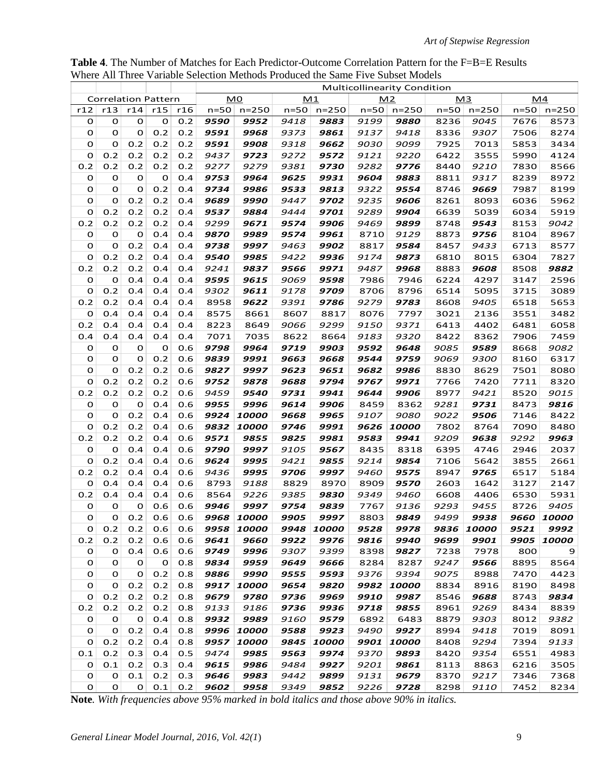**Table 4**. The Number of Matches for Each Predictor-Outcome Correlation Pattern for the F=B=E Results Where All Three Variable Selection Methods Produced the Same Five Subset Models

|             |             |                            |             |            |                | Where All Three Variable Selection Methods Produced the Same Five Subset Models |              |                     |              | <b>Multicollinearity Condition</b> |              |                     |              |              |
|-------------|-------------|----------------------------|-------------|------------|----------------|---------------------------------------------------------------------------------|--------------|---------------------|--------------|------------------------------------|--------------|---------------------|--------------|--------------|
|             |             | <b>Correlation Pattern</b> |             |            | M <sub>0</sub> |                                                                                 |              | M1                  |              | M <sub>2</sub>                     |              | M <sub>3</sub>      |              | M4           |
| r12         | r13         | r14                        | r15         | r16        | $n=50$         | $n = 250$                                                                       | $n=50$       | $n = 250$           | $n=50$       | $n = 250$                          | $n=50$       | $n = 250$           | n=50         | $n = 250$    |
| o           | $\mathbf 0$ | 0                          | $\mathbf 0$ | 0.2        | 9590           | 9952                                                                            | 9418         | 9883                | 9199         | 9880                               | 8236         | 9045                | 7676         | 8573         |
| 0           | 0           | O                          | 0.2         | 0.2        | 9591           | 9968                                                                            | 9373         | 9861                | 9137         | 9418                               | 8336         | 9307                | 7506         | 8274         |
| 0           | 0           | 0.2                        | 0.2         | 0.2        | 9591           | 9908                                                                            | 9318         | 9662                | 9030         | 9099                               | 7925         | 7013                | 5853         | 3434         |
| o           | 0.2         | 0.2                        | 0.2         | 0.2        | 9437           | 9723                                                                            | 9272         | 9572                | 9121         | 9220                               | 6422         | 3555                | 5990         | 4124         |
| 0.2         | 0.2         | 0.2                        | 0.2         | 0.2        | 9277           | 9279                                                                            | 9381         | 9730                | 9282         | 9776                               | 8440         | 9210                | 7830         | 8566         |
| o           | 0           | 0                          | $\mathbf 0$ | 0.4        | 9753           | 9964                                                                            | 9625         | 9931                | 9604         | 9883                               | 8811         | 9317                | 8239         | 8972         |
| 0           | 0           | 0                          | 0.2         | 0.4        | 9734           | 9986                                                                            | 9533         | 9813                | 9322         | 9554                               | 8746         | 9669                | 7987         | 8199         |
| 0           | O           | 0.2                        | 0.2         | 0.4        | 9689           | 9990                                                                            | 9447         | 9702                | 9235         | 9606                               | 8261         | 8093                | 6036         | 5962         |
| 0           | 0.2         | 0.2                        | 0.2         | 0.4        | 9537           | 9884                                                                            | 9444         | 9701                | 9289         | 9904                               | 6639         | 5039                | 6034         | 5919         |
| 0.2         | 0.2         | 0.2                        | 0.2         | 0.4        | 9299           | 9671                                                                            | 9574         | 9906                | 9469         | 9899                               | 8748         | 9543                | 8153         | 9042         |
| o           | $\mathbf 0$ | O                          | 0.4         | 0.4        | 9870           | 9989                                                                            | 9574         | 9961                | 8710         | 9129                               | 8873         | 9756                | 8104         | 8967         |
| 0           | 0           | 0.2                        | 0.4         | 0.4        | 9738           | 9997                                                                            | 9463         | 9902                | 8817         | 9584                               | 8457         | 9433                | 6713         | 8577         |
| 0           | 0.2         | 0.2                        | 0.4         | 0.4        | 9540           | 9985                                                                            | 9422         | 9936                | 9174         | 9873                               | 6810         | 8015                | 6304         | 7827         |
| 0.2         | 0.2         | 0.2                        | 0.4         | 0.4        | 9241           | 9837                                                                            | 9566         | 9971                | 9487         | 9968                               | 8883         | 9608                | 8508         | 9882         |
| 0           | 0           | 0.4                        | 0.4         | 0.4        | 9595           | 9615                                                                            | 9069         | 9598                | 7986         | 7946                               | 6224         | 4297                | 3147         | 2596         |
| o           | 0.2         | 0.4                        | 0.4         | 0.4        | 9302           | 9611                                                                            | 9178         | 9709                | 8706         | 8796                               | 6514         | 5095                | 3715         | 3089         |
| 0.2         | 0.2         | 0.4                        | 0.4         | 0.4        | 8958           | 9622                                                                            | 9391         | 9786                | 9279         | 9783                               | 8608         | 9405                | 6518         | 5653         |
| 0           | 0.4         | 0.4                        | 0.4         | 0.4        | 8575           | 8661                                                                            | 8607         | 8817                | 8076         | 7797                               | 3021         | 2136                | 3551         | 3482         |
| 0.2         | 0.4         | 0.4                        | 0.4         | 0.4        | 8223           | 8649                                                                            | 9066         | 9299                | 9150         | 9371                               | 6413         | 4402                | 6481         | 6058         |
| 0.4         | 0.4         | 0.4                        | 0.4         | 0.4        | 7071           | 7035                                                                            | 8622         | 8664                | 9183         | 9320                               | 8422         | 8362                | 7906         | 7459         |
| o           | o           | O                          | 0           | 0.6        | 9798           | 9964                                                                            | 9719         | 9903                | 9592         | 9648                               | 9085         | 9589                | 8668         | 9082         |
| O           | O           | O                          | 0.2         | 0.6        | 9839           | 9991                                                                            | 9663         | 9668                | 9544         | 9759                               | 9069         | <i>9300</i>         | 8160         | 6317         |
| 0           | 0           | 0.2                        | 0.2         | 0.6        | 9827           | 9997                                                                            | 9623         | 9651                | 9682         | 9986                               | 8830         | 8629                | 7501         | 8080         |
| 0           | 0.2         | 0.2                        | 0.2         | 0.6        | 9752           | 9878                                                                            | 9688         | 9794                | 9767         | 9971                               | 7766         | 7420                | 7711         | 8320         |
| 0.2         | 0.2         | 0.2                        | 0.2         | 0.6        | 9459           | 9540                                                                            | 9731         | 9941                | 9644         | 9906                               | 8977         | 9421                | 8520         | 9015         |
| o           | $\mathbf 0$ | O                          | 0.4         | 0.6        | 9955           | 9996                                                                            | 9614         | 9906                | 8459         | 8362                               | 9281         | 9731                | 8473         | 9816         |
| 0           | 0           | 0.2                        | 0.4         | 0.6        | 9924           | <i><b>10000</b></i>                                                             | 9668         | 9965                | 9107         | 9080                               | 9022         | 9506                | 7146         | 8422         |
| o           | 0.2         | 0.2                        | 0.4         | 0.6        | 9832<br>9571   | <i><b>10000</b></i>                                                             | 9746         | 9991                | 9626         | <i><b>10000</b></i>                | 7802         | 8764                | 7090         | 8480         |
| 0.2<br>o    | 0.2<br>0    | 0.2<br>0.4                 | 0.4<br>0.4  | 0.6<br>0.6 | 9790           | 9855<br>9997                                                                    | 9825<br>9105 | 9981<br>9567        | 9583<br>8435 | 9941<br>8318                       | 9209<br>6395 | 9638<br>4746        | 9292<br>2946 | 9963<br>2037 |
| 0           | 0.2         | 0.4                        | 0.4         | 0.6        | 9624           | 9995                                                                            | 9421         | 9855                | 9214         | 9854                               | 7106         | 5642                | 3855         | 2661         |
| 0.2         | 0.2         | 0.4                        | 0.4         | 0.6        | 9436           | 9995                                                                            | 9706         | 9997                | 9460         | 9575                               | 8947         | 9765                | 6517         | 5184         |
| 0           | 0.4         | 0.4                        | 0.4         | 0.6        | 8793           | 9188                                                                            | 8829         | 8970                | 8909         | <i>9570</i>                        | 2603         | 1642                | 3127         | 2147         |
| 0.2         | 0.4         | 0.4                        | 0.4         | 0.6        | 8564           | 9226                                                                            | 9385         | 9830                | 9349         | 9460                               | 6608         | 4406                | 6530         | 5931         |
| 0           | $\mathbf 0$ | 0                          | 0.6         | 0.6        | 9946           | 9997                                                                            | 9754         | 9839                | 7767         | 9136                               | 9293         | 9455                | 8726         | 9405         |
| $\mathbf 0$ | $\mathbf O$ | 0.2                        | 0.6         | 0.6        | 9968           | 10000                                                                           | 9905         | 9997                | 8803         | 9849                               | 9499         | 9938                | 9660         | 10000        |
| $\mathbf 0$ | 0.2         | 0.2                        | 0.6         | 0.6        | 9958           | 10000                                                                           | 9948         | <i><b>10000</b></i> | 9528         | 9978                               | 9836         | <i><b>10000</b></i> | 9521         | 9992         |
| 0.2         | 0.2         | 0.2                        | 0.6         | 0.6        | 9641           | 9660                                                                            | 9922         | 9976                | 9816         | 9940                               | 9699         | 9901                | 9905         | 10000        |
| 0           | 0           | 0.4                        | 0.6         | 0.6        | 9749           | 9996                                                                            | 9307         | 9399                | 8398         | 9827                               | 7238         | 7978                | 800          | 9            |
| O           | $\mathbf 0$ | $\mathbf 0$                | o           | 0.8        | 9834           | 9959                                                                            | 9649         | 9666                | 8284         | 8287                               | 9247         | 9566                | 8895         | 8564         |
| $\mathbf 0$ | $\mathbf 0$ | o                          | 0.2         | 0.8        | 9886           | 9990                                                                            | 9555         | 9593                | 9376         | 9394                               | 9075         | 8988                | 7470         | 4423         |
| $\mathbf 0$ | 0           | 0.2                        | 0.2         | 0.8        | 9917           | 10000                                                                           | 9654         | 9820                | 9982         | 10000                              | 8834         | 8916                | 8190         | 8498         |
| $\mathbf 0$ | 0.2         | 0.2                        | 0.2         | 0.8        | 9679           | 9780                                                                            | 9736         | 9969                | 9910         | 9987                               | 8546         | 9688                | 8743         | 9834         |
| 0.2         | 0.2         | 0.2                        | 0.2         | 0.8        | 9133           | 9186                                                                            | 9736         | 9936                | 9718         | 9855                               | 8961         | 9269                | 8434         | 8839         |
| 0           | 0           | o                          | 0.4         | 0.8        | 9932           | 9989                                                                            | 9160         | 9579                | 6892         | 6483                               | 8879         | 9303                | 8012         | 9382         |
| $\mathbf 0$ | 0           | 0.2                        | 0.4         | 0.8        | 9996           | 10000                                                                           | 9588         | 9923                | 9490         | 9927                               | 8994         | 9418                | 7019         | 8091         |
| $\mathbf 0$ | 0.2         | 0.2                        | 0.4         | 0.8        | 9957           | 10000                                                                           | 9845         | 10000               | 9901         | 10000                              | 8408         | 9294                | 7394         | 9133         |
| 0.1         | 0.2         | 0.3                        | 0.4         | 0.5        | 9474           | 9985                                                                            | 9563         | 9974                | 9370         | 9893                               | 8420         | 9354                | 6551         | 4983         |
| $\mathbf O$ | 0.1         | 0.2                        | 0.3         | 0.4        | 9615           | 9986                                                                            | 9484         | 9927                | 9201         | 9861                               | 8113         | 8863                | 6216         | 3505         |
| $\mathbf O$ | $\mathbf O$ | 0.1                        | 0.2         | 0.3        | 9646           | 9983                                                                            | 9442         | 9899                | 9131         | 9679                               | 8370         | 9217                | 7346         | 7368         |
| 0           | O           | 0                          | 0.1         | 0.2        | 9602           | 9958                                                                            | 9349         | 9852                | 9226         | 9728                               | 8298         | 9110                | 7452         | 8234         |

**Note***. With frequencies above 95% marked in bold italics and those above 90% in italics.*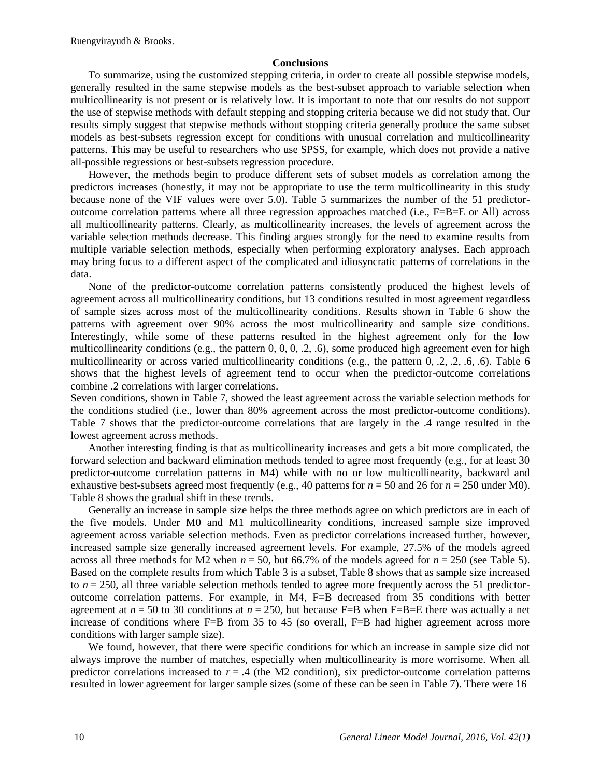#### **Conclusions**

To summarize, using the customized stepping criteria, in order to create all possible stepwise models, generally resulted in the same stepwise models as the best-subset approach to variable selection when multicollinearity is not present or is relatively low. It is important to note that our results do not support the use of stepwise methods with default stepping and stopping criteria because we did not study that. Our results simply suggest that stepwise methods without stopping criteria generally produce the same subset models as best-subsets regression except for conditions with unusual correlation and multicollinearity patterns. This may be useful to researchers who use SPSS, for example, which does not provide a native all-possible regressions or best-subsets regression procedure.

However, the methods begin to produce different sets of subset models as correlation among the predictors increases (honestly, it may not be appropriate to use the term multicollinearity in this study because none of the VIF values were over 5.0). Table 5 summarizes the number of the 51 predictoroutcome correlation patterns where all three regression approaches matched (i.e., F=B=E or All) across all multicollinearity patterns. Clearly, as multicollinearity increases, the levels of agreement across the variable selection methods decrease. This finding argues strongly for the need to examine results from multiple variable selection methods, especially when performing exploratory analyses. Each approach may bring focus to a different aspect of the complicated and idiosyncratic patterns of correlations in the data.

None of the predictor-outcome correlation patterns consistently produced the highest levels of agreement across all multicollinearity conditions, but 13 conditions resulted in most agreement regardless of sample sizes across most of the multicollinearity conditions. Results shown in Table 6 show the patterns with agreement over 90% across the most multicollinearity and sample size conditions. Interestingly, while some of these patterns resulted in the highest agreement only for the low multicollinearity conditions (e.g., the pattern 0, 0, 0, .2, .6), some produced high agreement even for high multicollinearity or across varied multicollinearity conditions (e.g., the pattern 0, .2, .2, .6, .6). Table 6 shows that the highest levels of agreement tend to occur when the predictor-outcome correlations combine .2 correlations with larger correlations.

Seven conditions, shown in Table 7, showed the least agreement across the variable selection methods for the conditions studied (i.e., lower than 80% agreement across the most predictor-outcome conditions). Table 7 shows that the predictor-outcome correlations that are largely in the .4 range resulted in the lowest agreement across methods.

Another interesting finding is that as multicollinearity increases and gets a bit more complicated, the forward selection and backward elimination methods tended to agree most frequently (e.g., for at least 30 predictor-outcome correlation patterns in M4) while with no or low multicollinearity, backward and exhaustive best-subsets agreed most frequently (e.g., 40 patterns for  $n = 50$  and 26 for  $n = 250$  under M0). Table 8 shows the gradual shift in these trends.

Generally an increase in sample size helps the three methods agree on which predictors are in each of the five models. Under M0 and M1 multicollinearity conditions, increased sample size improved agreement across variable selection methods. Even as predictor correlations increased further, however, increased sample size generally increased agreement levels. For example, 27.5% of the models agreed across all three methods for M2 when  $n = 50$ , but 66.7% of the models agreed for  $n = 250$  (see Table 5). Based on the complete results from which Table 3 is a subset, Table 8 shows that as sample size increased to  $n = 250$ , all three variable selection methods tended to agree more frequently across the 51 predictoroutcome correlation patterns. For example, in M4, F=B decreased from 35 conditions with better agreement at  $n = 50$  to 30 conditions at  $n = 250$ , but because F=B when F=B=E there was actually a net increase of conditions where F=B from 35 to 45 (so overall, F=B had higher agreement across more conditions with larger sample size).

We found, however, that there were specific conditions for which an increase in sample size did not always improve the number of matches, especially when multicollinearity is more worrisome. When all predictor correlations increased to  $r = .4$  (the M2 condition), six predictor-outcome correlation patterns resulted in lower agreement for larger sample sizes (some of these can be seen in Table 7). There were 16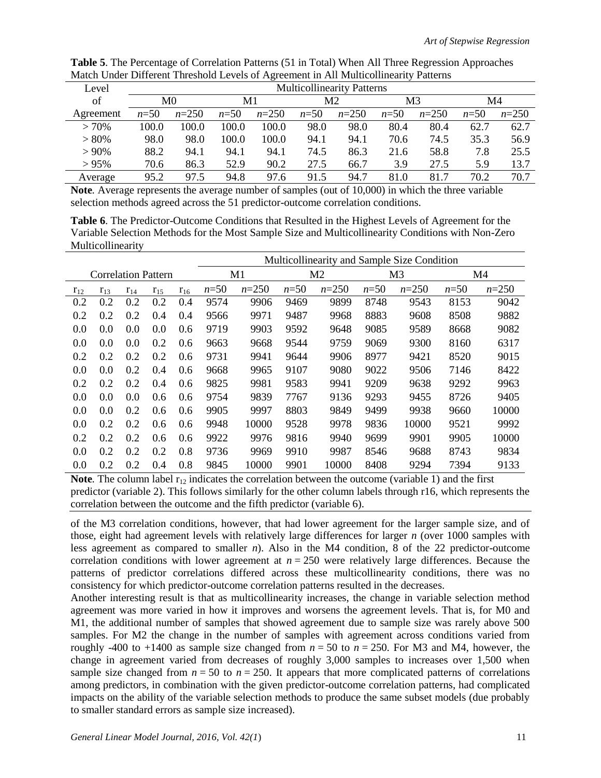| Level     | <b>Multicollinearity Patterns</b> |         |          |         |          |         |        |         |          |         |  |  |
|-----------|-----------------------------------|---------|----------|---------|----------|---------|--------|---------|----------|---------|--|--|
| of        | M0                                |         | M1       |         | M2       |         | M3     |         | M4       |         |  |  |
| Agreement | $n = 50$                          | $n=250$ | $n = 50$ | $n=250$ | $n = 50$ | $n=250$ | $n=50$ | $n=250$ | $n = 50$ | $n=250$ |  |  |
| >70%      | 100.0                             | 100.0   | 100.0    | 100.0   | 98.0     | 98.0    | 80.4   | 80.4    | 62.7     | 62.7    |  |  |
| > 80%     | 98.0                              | 98.0    | 100.0    | 100.0   | 94.1     | 94.1    | 70.6   | 74.5    | 35.3     | 56.9    |  |  |
| $> 90\%$  | 88.2                              | 94.1    | 94.1     | 94.1    | 74.5     | 86.3    | 21.6   | 58.8    | 7.8      | 25.5    |  |  |
| $> 95\%$  | 70.6                              | 86.3    | 52.9     | 90.2    | 27.5     | 66.7    | 3.9    | 27.5    | 5.9      | 13.7    |  |  |
| Average   | 95.2                              | 97.5    | 94.8     | 97.6    | 91.5     | 94.7    | 81.0   | 81.7    | 70.2     | 70.7    |  |  |

**Table 5**. The Percentage of Correlation Patterns (51 in Total) When All Three Regression Approaches Match Under Different Threshold Levels of Agreement in All Multicollinearity Patterns

**Note***.* Average represents the average number of samples (out of 10,000) in which the three variable selection methods agreed across the 51 predictor-outcome correlation conditions.

**Table 6**. The Predictor-Outcome Conditions that Resulted in the Highest Levels of Agreement for the Variable Selection Methods for the Most Sample Size and Multicollinearity Conditions with Non-Zero Multicollinearity

|                            |          |          |          |          | Multicollinearity and Sample Size Condition |                |        |                |                |         |        |         |  |  |
|----------------------------|----------|----------|----------|----------|---------------------------------------------|----------------|--------|----------------|----------------|---------|--------|---------|--|--|
| <b>Correlation Pattern</b> |          |          |          | M1       |                                             | M <sub>2</sub> |        | M <sub>3</sub> | M <sub>4</sub> |         |        |         |  |  |
| $r_{12}$                   | $r_{13}$ | $r_{14}$ | $r_{15}$ | $r_{16}$ | $n=50$                                      | $n=250$        | $n=50$ | $n=250$        | $n=50$         | $n=250$ | $n=50$ | $n=250$ |  |  |
| 0.2                        | 0.2      | 0.2      | 0.2      | 0.4      | 9574                                        | 9906           | 9469   | 9899           | 8748           | 9543    | 8153   | 9042    |  |  |
| 0.2                        | 0.2      | 0.2      | 0.4      | 0.4      | 9566                                        | 9971           | 9487   | 9968           | 8883           | 9608    | 8508   | 9882    |  |  |
| 0.0                        | 0.0      | 0.0      | 0.0      | 0.6      | 9719                                        | 9903           | 9592   | 9648           | 9085           | 9589    | 8668   | 9082    |  |  |
| 0.0                        | 0.0      | 0.0      | 0.2      | 0.6      | 9663                                        | 9668           | 9544   | 9759           | 9069           | 9300    | 8160   | 6317    |  |  |
| 0.2                        | 0.2      | 0.2      | 0.2      | 0.6      | 9731                                        | 9941           | 9644   | 9906           | 8977           | 9421    | 8520   | 9015    |  |  |
| 0.0                        | 0.0      | 0.2      | 0.4      | 0.6      | 9668                                        | 9965           | 9107   | 9080           | 9022           | 9506    | 7146   | 8422    |  |  |
| 0.2                        | 0.2      | 0.2      | 0.4      | 0.6      | 9825                                        | 9981           | 9583   | 9941           | 9209           | 9638    | 9292   | 9963    |  |  |
| 0.0                        | 0.0      | 0.0      | 0.6      | 0.6      | 9754                                        | 9839           | 7767   | 9136           | 9293           | 9455    | 8726   | 9405    |  |  |
| 0.0                        | 0.0      | 0.2      | 0.6      | 0.6      | 9905                                        | 9997           | 8803   | 9849           | 9499           | 9938    | 9660   | 10000   |  |  |
| 0.0                        | 0.2      | 0.2      | 0.6      | 0.6      | 9948                                        | 10000          | 9528   | 9978           | 9836           | 10000   | 9521   | 9992    |  |  |
| 0.2                        | 0.2      | 0.2      | 0.6      | 0.6      | 9922                                        | 9976           | 9816   | 9940           | 9699           | 9901    | 9905   | 10000   |  |  |
| 0.0                        | 0.2      | 0.2      | 0.2      | 0.8      | 9736                                        | 9969           | 9910   | 9987           | 8546           | 9688    | 8743   | 9834    |  |  |
| 0.0                        | 0.2      | 0.2      | 0.4      | 0.8      | 9845                                        | 10000          | 9901   | 10000          | 8408           | 9294    | 7394   | 9133    |  |  |

**Note**. The column label  $r_{12}$  indicates the correlation between the outcome (variable 1) and the first predictor (variable 2). This follows similarly for the other column labels through r16, which represents the correlation between the outcome and the fifth predictor (variable 6).

of the M3 correlation conditions, however, that had lower agreement for the larger sample size, and of those, eight had agreement levels with relatively large differences for larger *n* (over 1000 samples with less agreement as compared to smaller *n*). Also in the M4 condition, 8 of the 22 predictor-outcome correlation conditions with lower agreement at  $n = 250$  were relatively large differences. Because the patterns of predictor correlations differed across these multicollinearity conditions, there was no consistency for which predictor-outcome correlation patterns resulted in the decreases.

Another interesting result is that as multicollinearity increases, the change in variable selection method agreement was more varied in how it improves and worsens the agreement levels. That is, for M0 and M1, the additional number of samples that showed agreement due to sample size was rarely above 500 samples. For M2 the change in the number of samples with agreement across conditions varied from roughly -400 to +1400 as sample size changed from  $n = 50$  to  $n = 250$ . For M3 and M4, however, the change in agreement varied from decreases of roughly 3,000 samples to increases over 1,500 when sample size changed from  $n = 50$  to  $n = 250$ . It appears that more complicated patterns of correlations among predictors, in combination with the given predictor-outcome correlation patterns, had complicated impacts on the ability of the variable selection methods to produce the same subset models (due probably to smaller standard errors as sample size increased).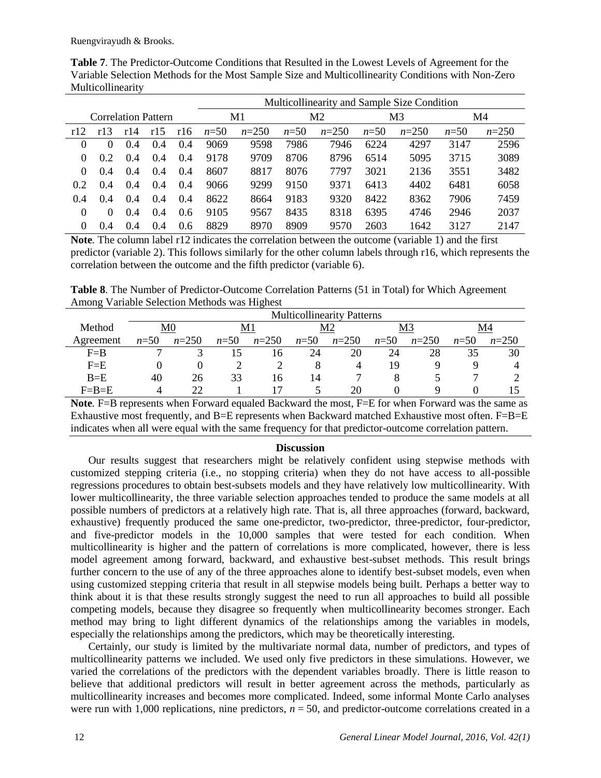Ruengvirayudh & Brooks.

|                            |          |     |     |     | Multicollinearity and Sample Size Condition |                |        |         |        |         |        |         |  |  |  |
|----------------------------|----------|-----|-----|-----|---------------------------------------------|----------------|--------|---------|--------|---------|--------|---------|--|--|--|
| <b>Correlation Pattern</b> |          |     |     | M1  |                                             | M <sub>2</sub> |        | M3      | M4     |         |        |         |  |  |  |
| r12                        | r13      | r14 | r15 | r16 | $n=50$                                      | $n=250$        | $n=50$ | $n=250$ | $n=50$ | $n=250$ | $n=50$ | $n=250$ |  |  |  |
| $\theta$                   | $\Omega$ | 0.4 | 0.4 | 0.4 | 9069                                        | 9598           | 7986   | 7946    | 6224   | 4297    | 3147   | 2596    |  |  |  |
| $\Omega$                   | 0.2      | 0.4 | 0.4 | 0.4 | 9178                                        | 9709           | 8706   | 8796    | 6514   | 5095    | 3715   | 3089    |  |  |  |
| $\theta$                   | 0.4      | 0.4 | 0.4 | 0.4 | 8607                                        | 8817           | 8076   | 7797    | 3021   | 2136    | 3551   | 3482    |  |  |  |
| 0.2                        | 0.4      | 0.4 | 0.4 | 0.4 | 9066                                        | 9299           | 9150   | 9371    | 6413   | 4402    | 6481   | 6058    |  |  |  |
| 0.4                        | 0.4      | 0.4 | 0.4 | 0.4 | 8622                                        | 8664           | 9183   | 9320    | 8422   | 8362    | 7906   | 7459    |  |  |  |
| $\Omega$                   | $\Omega$ | 0.4 | 0.4 | 0.6 | 9105                                        | 9567           | 8435   | 8318    | 6395   | 4746    | 2946   | 2037    |  |  |  |
| $\Omega$                   | 0.4      | 0.4 | 0.4 | 0.6 | 8829                                        | 8970           | 8909   | 9570    | 2603   | 1642    | 3127   | 2147    |  |  |  |

**Table 7**. The Predictor-Outcome Conditions that Resulted in the Lowest Levels of Agreement for the Variable Selection Methods for the Most Sample Size and Multicollinearity Conditions with Non-Zero Multicollinearity

**Note***.* The column label r12 indicates the correlation between the outcome (variable 1) and the first predictor (variable 2). This follows similarly for the other column labels through r16, which represents the correlation between the outcome and the fifth predictor (variable 6).

**Table 8**. The Number of Predictor-Outcome Correlation Patterns (51 in Total) for Which Agreement Among Variable Selection Methods was Highest

|           | <b>Multicollinearity Patterns</b> |         |          |         |          |         |        |         |          |         |  |
|-----------|-----------------------------------|---------|----------|---------|----------|---------|--------|---------|----------|---------|--|
| Method    | M <sub>0</sub>                    |         | M1       |         | Μ2       |         | M3     |         | M4       |         |  |
| Agreement | $n = 50$                          | $n=250$ | $n = 50$ | $n=250$ | $n = 50$ | $n=250$ | $n=50$ | $n=250$ | $n = 50$ | $n=250$ |  |
| $F = B$   |                                   |         |          | 16      | 24       | 20      | 24     | 28      | 35       | 30      |  |
| $F = E$   |                                   |         |          |         |          | 4       | 19     |         |          |         |  |
| $B = E$   | 40                                | 26      | 33       | 16      | 14       |         |        |         |          |         |  |
| $F=B=E$   |                                   | つつ      |          |         |          | 20      |        |         |          |         |  |

Note. F=B represents when Forward equaled Backward the most, F=E for when Forward was the same as Exhaustive most frequently, and B=E represents when Backward matched Exhaustive most often. F=B=E indicates when all were equal with the same frequency for that predictor-outcome correlation pattern.

#### **Discussion**

Our results suggest that researchers might be relatively confident using stepwise methods with customized stepping criteria (i.e., no stopping criteria) when they do not have access to all-possible regressions procedures to obtain best-subsets models and they have relatively low multicollinearity. With lower multicollinearity, the three variable selection approaches tended to produce the same models at all possible numbers of predictors at a relatively high rate. That is, all three approaches (forward, backward, exhaustive) frequently produced the same one-predictor, two-predictor, three-predictor, four-predictor, and five-predictor models in the 10,000 samples that were tested for each condition. When multicollinearity is higher and the pattern of correlations is more complicated, however, there is less model agreement among forward, backward, and exhaustive best-subset methods. This result brings further concern to the use of any of the three approaches alone to identify best-subset models, even when using customized stepping criteria that result in all stepwise models being built. Perhaps a better way to think about it is that these results strongly suggest the need to run all approaches to build all possible competing models, because they disagree so frequently when multicollinearity becomes stronger. Each method may bring to light different dynamics of the relationships among the variables in models, especially the relationships among the predictors, which may be theoretically interesting.

Certainly, our study is limited by the multivariate normal data, number of predictors, and types of multicollinearity patterns we included. We used only five predictors in these simulations. However, we varied the correlations of the predictors with the dependent variables broadly. There is little reason to believe that additional predictors will result in better agreement across the methods, particularly as multicollinearity increases and becomes more complicated. Indeed, some informal Monte Carlo analyses were run with 1,000 replications, nine predictors,  $n = 50$ , and predictor-outcome correlations created in a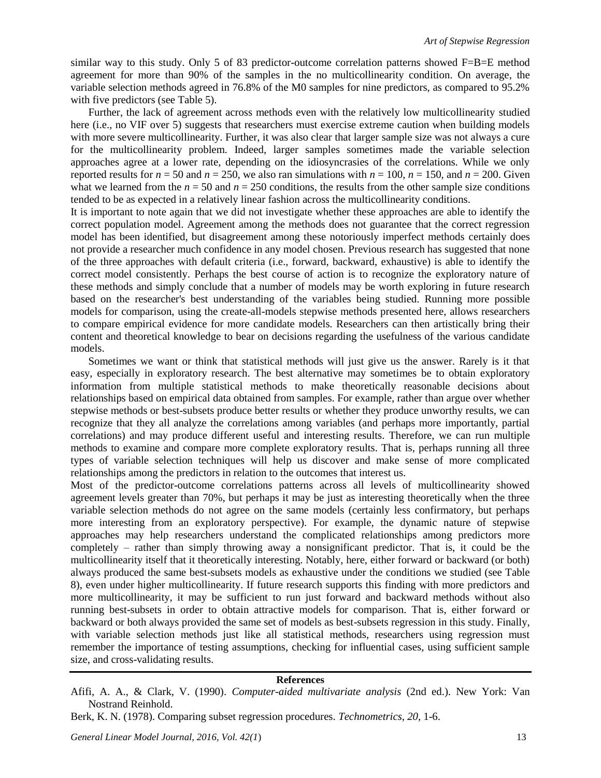similar way to this study. Only 5 of 83 predictor-outcome correlation patterns showed  $F=B=E$  method agreement for more than 90% of the samples in the no multicollinearity condition. On average, the variable selection methods agreed in 76.8% of the M0 samples for nine predictors, as compared to 95.2% with five predictors (see Table 5).

Further, the lack of agreement across methods even with the relatively low multicollinearity studied here (i.e., no VIF over 5) suggests that researchers must exercise extreme caution when building models with more severe multicollinearity. Further, it was also clear that larger sample size was not always a cure for the multicollinearity problem. Indeed, larger samples sometimes made the variable selection approaches agree at a lower rate, depending on the idiosyncrasies of the correlations. While we only reported results for  $n = 50$  and  $n = 250$ , we also ran simulations with  $n = 100$ ,  $n = 150$ , and  $n = 200$ . Given what we learned from the  $n = 50$  and  $n = 250$  conditions, the results from the other sample size conditions tended to be as expected in a relatively linear fashion across the multicollinearity conditions.

It is important to note again that we did not investigate whether these approaches are able to identify the correct population model. Agreement among the methods does not guarantee that the correct regression model has been identified, but disagreement among these notoriously imperfect methods certainly does not provide a researcher much confidence in any model chosen. Previous research has suggested that none of the three approaches with default criteria (i.e., forward, backward, exhaustive) is able to identify the correct model consistently. Perhaps the best course of action is to recognize the exploratory nature of these methods and simply conclude that a number of models may be worth exploring in future research based on the researcher's best understanding of the variables being studied. Running more possible models for comparison, using the create-all-models stepwise methods presented here, allows researchers to compare empirical evidence for more candidate models. Researchers can then artistically bring their content and theoretical knowledge to bear on decisions regarding the usefulness of the various candidate models.

Sometimes we want or think that statistical methods will just give us the answer. Rarely is it that easy, especially in exploratory research. The best alternative may sometimes be to obtain exploratory information from multiple statistical methods to make theoretically reasonable decisions about relationships based on empirical data obtained from samples. For example, rather than argue over whether stepwise methods or best-subsets produce better results or whether they produce unworthy results, we can recognize that they all analyze the correlations among variables (and perhaps more importantly, partial correlations) and may produce different useful and interesting results. Therefore, we can run multiple methods to examine and compare more complete exploratory results. That is, perhaps running all three types of variable selection techniques will help us discover and make sense of more complicated relationships among the predictors in relation to the outcomes that interest us.

Most of the predictor-outcome correlations patterns across all levels of multicollinearity showed agreement levels greater than 70%, but perhaps it may be just as interesting theoretically when the three variable selection methods do not agree on the same models (certainly less confirmatory, but perhaps more interesting from an exploratory perspective). For example, the dynamic nature of stepwise approaches may help researchers understand the complicated relationships among predictors more completely – rather than simply throwing away a nonsignificant predictor. That is, it could be the multicollinearity itself that it theoretically interesting. Notably, here, either forward or backward (or both) always produced the same best-subsets models as exhaustive under the conditions we studied (see Table 8), even under higher multicollinearity. If future research supports this finding with more predictors and more multicollinearity, it may be sufficient to run just forward and backward methods without also running best-subsets in order to obtain attractive models for comparison. That is, either forward or backward or both always provided the same set of models as best-subsets regression in this study. Finally, with variable selection methods just like all statistical methods, researchers using regression must remember the importance of testing assumptions, checking for influential cases, using sufficient sample size, and cross-validating results.

#### **References**

Afifi, A. A., & Clark, V. (1990). *Computer-aided multivariate analysis* (2nd ed.). New York: Van Nostrand Reinhold.

Berk, K. N. (1978). Comparing subset regression procedures. *Technometrics, 20,* 1-6.